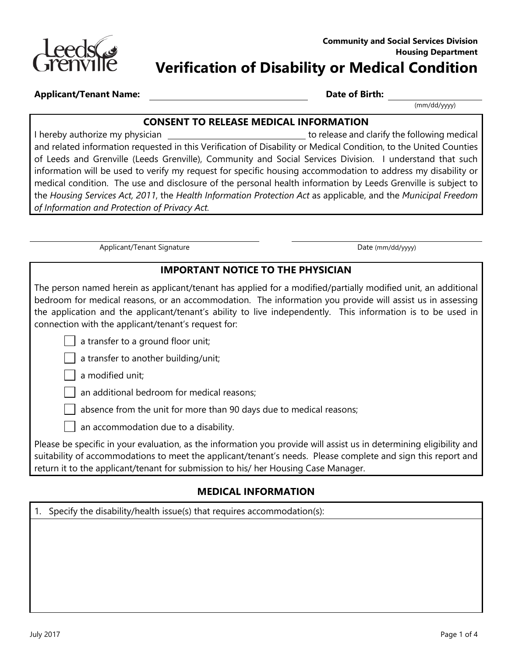

| <b>Applicant/Tenant Name:</b> |  |
|-------------------------------|--|
|-------------------------------|--|

**Date of Birth:** 

(mm/dd/yyyy)

#### **CONSENT TO RELEASE MEDICAL INFORMATION**

 medical condition. The use and disclosure of the personal health information by Leeds Grenville is subject to I hereby authorize my physician to release and clarify the following medical and related information requested in this Verification of Disability or Medical Condition, to the United Counties of Leeds and Grenville (Leeds Grenville), Community and Social Services Division. I understand that such information will be used to verify my request for specific housing accommodation to address my disability or the *Housing Services Act, 2011*, the *Health Information Protection Act* as applicable, and the *Municipal Freedom of Information and Protection of Privacy Act.* 

Applicant/Tenant Signature data and the control of the Date (mm/dd/yyyy)

### **IMPORTANT NOTICE TO THE PHYSICIAN**

 The person named herein as applicant/tenant has applied for a modified/partially modified unit, an additional the application and the applicant/tenant's ability to live independently. This information is to be used in bedroom for medical reasons, or an accommodation. The information you provide will assist us in assessing connection with the applicant/tenant's request for:

a transfer to a ground floor unit;

a transfer to another building/unit;

### | a modified unit;

an additional bedroom for medical reasons;

absence from the unit for more than 90 days due to medical reasons;

an accommodation due to a disability.

 suitability of accommodations to meet the applicant/tenant's needs. Please complete and sign this report and Please be specific in your evaluation, as the information you provide will assist us in determining eligibility and return it to the applicant/tenant for submission to his/ her Housing Case Manager.

### **MEDICAL INFORMATION**

1. Specify the disability/health issue(s) that requires accommodation(s):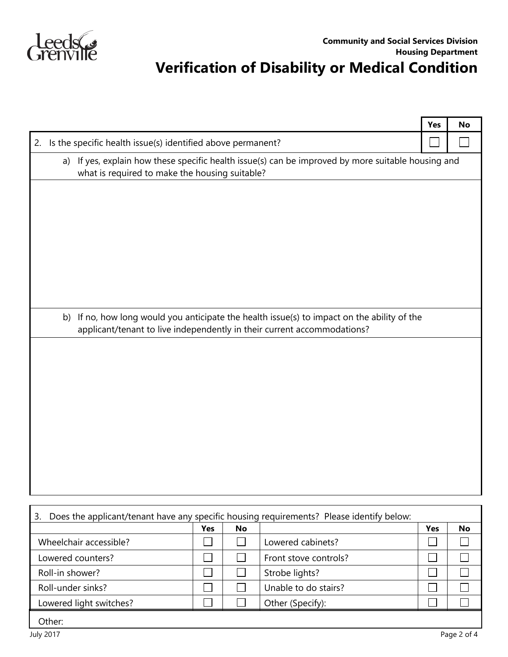

## **Verification of Disability or Medical Condition**

|                                                                                                |                                                                                                                                                                        |     |           |                       | Yes | No |
|------------------------------------------------------------------------------------------------|------------------------------------------------------------------------------------------------------------------------------------------------------------------------|-----|-----------|-----------------------|-----|----|
| 2.                                                                                             | Is the specific health issue(s) identified above permanent?                                                                                                            |     |           |                       |     |    |
| a)                                                                                             | If yes, explain how these specific health issue(s) can be improved by more suitable housing and<br>what is required to make the housing suitable?                      |     |           |                       |     |    |
|                                                                                                |                                                                                                                                                                        |     |           |                       |     |    |
|                                                                                                |                                                                                                                                                                        |     |           |                       |     |    |
|                                                                                                |                                                                                                                                                                        |     |           |                       |     |    |
|                                                                                                |                                                                                                                                                                        |     |           |                       |     |    |
|                                                                                                |                                                                                                                                                                        |     |           |                       |     |    |
|                                                                                                |                                                                                                                                                                        |     |           |                       |     |    |
|                                                                                                |                                                                                                                                                                        |     |           |                       |     |    |
|                                                                                                | b) If no, how long would you anticipate the health issue(s) to impact on the ability of the<br>applicant/tenant to live independently in their current accommodations? |     |           |                       |     |    |
|                                                                                                |                                                                                                                                                                        |     |           |                       |     |    |
|                                                                                                |                                                                                                                                                                        |     |           |                       |     |    |
|                                                                                                |                                                                                                                                                                        |     |           |                       |     |    |
|                                                                                                |                                                                                                                                                                        |     |           |                       |     |    |
|                                                                                                |                                                                                                                                                                        |     |           |                       |     |    |
|                                                                                                |                                                                                                                                                                        |     |           |                       |     |    |
|                                                                                                |                                                                                                                                                                        |     |           |                       |     |    |
|                                                                                                |                                                                                                                                                                        |     |           |                       |     |    |
|                                                                                                |                                                                                                                                                                        |     |           |                       |     |    |
|                                                                                                |                                                                                                                                                                        |     |           |                       |     |    |
| Does the applicant/tenant have any specific housing requirements? Please identify below:<br>3. |                                                                                                                                                                        |     |           |                       |     |    |
|                                                                                                |                                                                                                                                                                        | Yes | <b>No</b> |                       | Yes | No |
| Wheelchair accessible?                                                                         |                                                                                                                                                                        |     |           | Lowered cabinets?     |     |    |
| Lowered counters?                                                                              |                                                                                                                                                                        |     |           | Front stove controls? |     |    |
| Roll-in shower?                                                                                |                                                                                                                                                                        |     |           | Strobe lights?        |     |    |
| Roll-under sinks?                                                                              |                                                                                                                                                                        |     |           | Unable to do stairs?  |     |    |

Lowered light switches?  $\Box$   $\Box$  Other (Specify):

 $\Box$ 

 $\Box$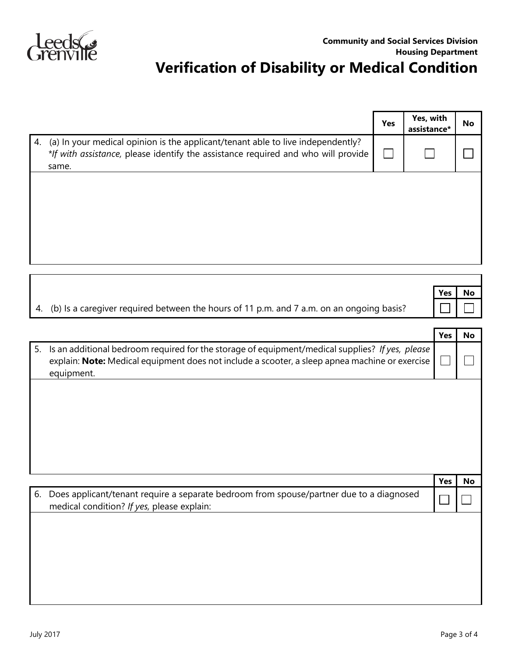

# **Verification of Disability or Medical Condition**

|                                                                                                                                                                                  | Yes | Yes, with<br>assistance* | No |
|----------------------------------------------------------------------------------------------------------------------------------------------------------------------------------|-----|--------------------------|----|
| 4. (a) In your medical opinion is the applicant/tenant able to live independently?<br>*If with assistance, please identify the assistance required and who will provide<br>same. |     |                          |    |
|                                                                                                                                                                                  |     |                          |    |
|                                                                                                                                                                                  |     |                          |    |
|                                                                                                                                                                                  |     |                          |    |

|                                                                                             | Yes | <b>No</b> |
|---------------------------------------------------------------------------------------------|-----|-----------|
| 4. (b) Is a caregiver required between the hours of 11 p.m. and 7 a.m. on an ongoing basis? |     |           |
|                                                                                             |     |           |

| Yes | No                                                                                                                                                                                                                                                                                                  |
|-----|-----------------------------------------------------------------------------------------------------------------------------------------------------------------------------------------------------------------------------------------------------------------------------------------------------|
|     |                                                                                                                                                                                                                                                                                                     |
|     |                                                                                                                                                                                                                                                                                                     |
|     |                                                                                                                                                                                                                                                                                                     |
|     |                                                                                                                                                                                                                                                                                                     |
|     |                                                                                                                                                                                                                                                                                                     |
|     | No                                                                                                                                                                                                                                                                                                  |
|     |                                                                                                                                                                                                                                                                                                     |
|     |                                                                                                                                                                                                                                                                                                     |
|     |                                                                                                                                                                                                                                                                                                     |
|     |                                                                                                                                                                                                                                                                                                     |
|     |                                                                                                                                                                                                                                                                                                     |
|     | Is an additional bedroom required for the storage of equipment/medical supplies? If yes, please<br>explain: Note: Medical equipment does not include a scooter, a sleep apnea machine or exercise<br>Yes<br>Does applicant/tenant require a separate bedroom from spouse/partner due to a diagnosed |